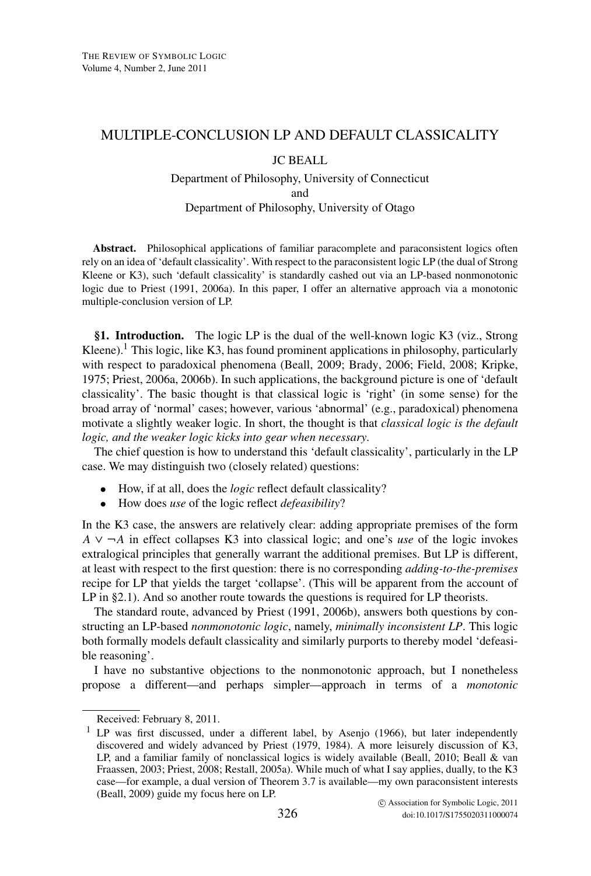# MULTIPLE-CONCLUSION LP AND DEFAULT CLASSICALITY

### JC BEALL

## Department of Philosophy, University of Connecticut and Department of Philosophy, University of Otago

**Abstract.** Philosophical applications of familiar paracomplete and paraconsistent logics often rely on an idea of 'default classicality'. With respect to the paraconsistent logic LP (the dual of Strong Kleene or K3), such 'default classicality' is standardly cashed out via an LP-based nonmonotonic logic due to Priest (1991, 2006a). In this paper, I offer an alternative approach via a monotonic multiple-conclusion version of LP.

**§1. Introduction.** The logic LP is the dual of the well-known logic K3 (viz., Strong Kleene).<sup>1</sup> This logic, like K3, has found prominent applications in philosophy, particularly with respect to paradoxical phenomena (Beall, 2009; Brady, 2006; Field, 2008; Kripke, 1975; Priest, 2006a, 2006b). In such applications, the background picture is one of 'default classicality'. The basic thought is that classical logic is 'right' (in some sense) for the broad array of 'normal' cases; however, various 'abnormal' (e.g., paradoxical) phenomena motivate a slightly weaker logic. In short, the thought is that *classical logic is the default logic, and the weaker logic kicks into gear when necessary*.

The chief question is how to understand this 'default classicality', particularly in the LP case. We may distinguish two (closely related) questions:

- How, if at all, does the *logic* reflect default classicality?
- How does *use* of the logic reflect *defeasibility*?

In the K3 case, the answers are relatively clear: adding appropriate premises of the form *A* ∨ ¬*A* in effect collapses K3 into classical logic; and one's *use* of the logic invokes extralogical principles that generally warrant the additional premises. But LP is different, at least with respect to the first question: there is no corresponding *adding-to-the-premises* recipe for LP that yields the target 'collapse'. (This will be apparent from the account of LP in §2.1). And so another route towards the questions is required for LP theorists.

The standard route, advanced by Priest (1991, 2006b), answers both questions by constructing an LP-based *nonmonotonic logic*, namely, *minimally inconsistent LP*. This logic both formally models default classicality and similarly purports to thereby model 'defeasible reasoning'.

I have no substantive objections to the nonmonotonic approach, but I nonetheless propose a different—and perhaps simpler—approach in terms of a *monotonic*

Received: February 8, 2011.

<sup>&</sup>lt;sup>1</sup> LP was first discussed, under a different label, by Asenjo (1966), but later independently discovered and widely advanced by Priest (1979, 1984). A more leisurely discussion of K3, LP, and a familiar family of nonclassical logics is widely available (Beall, 2010; Beall & van Fraassen, 2003; Priest, 2008; Restall, 2005a). While much of what I say applies, dually, to the K3 case—for example, a dual version of Theorem 3.7 is available—my own paraconsistent interests (Beall, 2009) guide my focus here on LP.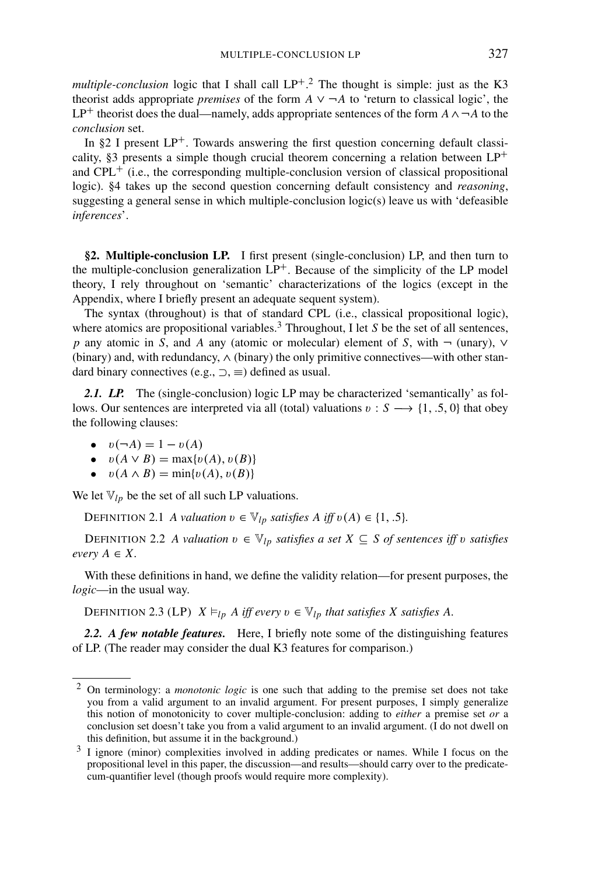*multiple-conclusion* logic that I shall call  $LP^+$ .<sup>2</sup> The thought is simple: just as the K3 theorist adds appropriate *premises* of the form  $A \vee \neg A$  to 'return to classical logic', the LP<sup>+</sup> theorist does the dual—namely, adds appropriate sentences of the form  $A \wedge \neg A$  to the *conclusion* set.

In §2 I present  $LP^+$ . Towards answering the first question concerning default classicality, §3 presents a simple though crucial theorem concerning a relation between LP+ and  $CPL<sup>+</sup>$  (i.e., the corresponding multiple-conclusion version of classical propositional logic). §4 takes up the second question concerning default consistency and *reasoning*, suggesting a general sense in which multiple-conclusion logic(s) leave us with 'defeasible *inferences*'.

**§2. Multiple-conclusion LP.** I first present (single-conclusion) LP, and then turn to the multiple-conclusion generalization  $LP^+$ . Because of the simplicity of the LP model theory, I rely throughout on 'semantic' characterizations of the logics (except in the Appendix, where I briefly present an adequate sequent system).

The syntax (throughout) is that of standard CPL (i.e., classical propositional logic), where atomics are propositional variables.<sup>3</sup> Throughout, I let *S* be the set of all sentences, *p* any atomic in *S*, and *A* any (atomic or molecular) element of *S*, with  $\neg$  (unary),  $\vee$ (binary) and, with redundancy, ∧ (binary) the only primitive connectives—with other standard binary connectives (e.g.,  $\supset$ ,  $\equiv$ ) defined as usual.

*2.1. LP.* The (single-conclusion) logic LP may be characterized 'semantically' as follows. Our sentences are interpreted via all (total) valuations  $v : S \longrightarrow \{1, .5, 0\}$  that obey the following clauses:

- $v(\neg A) = 1 v(A)$
- $v(A \vee B) = \max\{v(A), v(B)\}\$
- $v(A \wedge B) = \min\{v(A), v(B)\}\$

We let  $\mathbb{V}_{lp}$  be the set of all such LP valuations.

DEFINITION 2.1 *A valuation*  $v \in V_{lp}$  *satisfies A iff*  $v(A) \in \{1, .5\}$ *.* 

DEFINITION 2.2 *A valuation*  $v \in V_{lp}$  *satisfies a set*  $X \subseteq S$  *of sentences iff v satisfies*  $every A \in X$ .

With these definitions in hand, we define the validity relation—for present purposes, the *logic*—in the usual way.

DEFINITION 2.3 (LP)  $X \vDash_{lp} A$  iff every  $v \in \mathbb{V}_{lp}$  that satisfies X satisfies A.

*2.2. A few notable features.* Here, I briefly note some of the distinguishing features of LP. (The reader may consider the dual K3 features for comparison.)

<sup>2</sup> On terminology: a *monotonic logic* is one such that adding to the premise set does not take you from a valid argument to an invalid argument. For present purposes, I simply generalize this notion of monotonicity to cover multiple-conclusion: adding to *either* a premise set *or* a conclusion set doesn't take you from a valid argument to an invalid argument. (I do not dwell on this definition, but assume it in the background.)

<sup>&</sup>lt;sup>3</sup> I ignore (minor) complexities involved in adding predicates or names. While I focus on the propositional level in this paper, the discussion—and results—should carry over to the predicatecum-quantifier level (though proofs would require more complexity).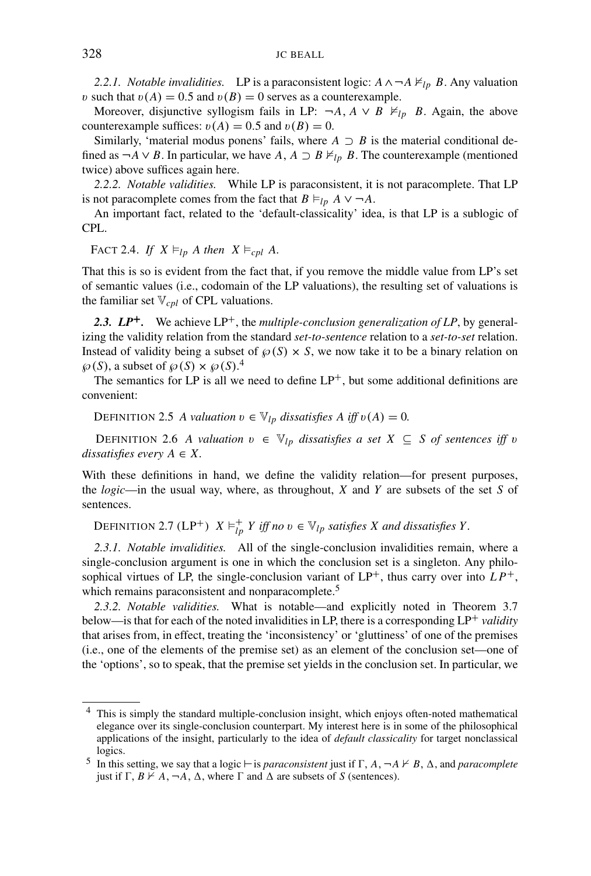2.2.1. *Notable invalidities.* LP is a paraconsistent logic:  $A \wedge \neg A \nvDash_{lp} B$ . Any valuation v such that  $v(A) = 0.5$  and  $v(B) = 0$  serves as a counterexample.

Moreover, disjunctive syllogism fails in LP:  $\neg A$ ,  $A \lor B \nvDash_{lp} B$ . Again, the above counterexample suffices:  $v(A) = 0.5$  and  $v(B) = 0$ .

Similarly, 'material modus ponens' fails, where  $A \supset B$  is the material conditional defined as  $\neg A \lor B$ . In particular, we have *A*, *A*  $\supset B \nvDash_{lp} B$ . The counterexample (mentioned twice) above suffices again here.

*2.2.2. Notable validities.* While LP is paraconsistent, it is not paracomplete. That LP is not paracomplete comes from the fact that  $B \vDash_{lp} A \vee \neg A$ .

An important fact, related to the 'default-classicality' idea, is that LP is a sublogic of CPL.

FACT 2.4. If  $X \models_{lp} A$  then  $X \models_{cpl} A$ .

That this is so is evident from the fact that, if you remove the middle value from LP's set of semantic values (i.e., codomain of the LP valuations), the resulting set of valuations is the familiar set  $\mathbb{V}_{cpl}$  of CPL valuations.

2.3. LP<sup>+</sup>. We achieve LP<sup>+</sup>, the *multiple-conclusion generalization of LP*, by generalizing the validity relation from the standard *set-to-sentence* relation to a *set-to-set* relation. Instead of validity being a subset of  $\wp(S) \times S$ , we now take it to be a binary relation on  $\wp(S)$ , a subset of  $\wp(S) \times \wp(S)$ .<sup>4</sup>

The semantics for LP is all we need to define  $LP^+$ , but some additional definitions are convenient:

DEFINITION 2.5 *A valuation*  $v \in V_{lp}$  *dissatisfies A iff*  $v(A) = 0$ *.* 

DEFINITION 2.6 *A valuation*  $v \in V_{lp}$  *dissatisfies a set*  $X \subseteq S$  *of sentences iff* v *dissatisfies every*  $A \in X$ .

With these definitions in hand, we define the validity relation—for present purposes, the *logic*—in the usual way, where, as throughout, *X* and *Y* are subsets of the set *S* of sentences.

DEFINITION 2.7 (LP<sup>+</sup>)  $X \vDash^+_{lp} Y$  iff no  $v \in \mathbb{V}_{lp}$  satisfies X and dissatisfies Y.

*2.3.1. Notable invalidities.* All of the single-conclusion invalidities remain, where a single-conclusion argument is one in which the conclusion set is a singleton. Any philosophical virtues of LP, the single-conclusion variant of  $LP^+$ , thus carry over into  $LP^+$ , which remains paraconsistent and nonparacomplete.<sup>5</sup>

*2.3.2. Notable validities.* What is notable—and explicitly noted in Theorem 3.7 below—is that for each of the noted invalidities in LP, there is a corresponding LP+ *validity* that arises from, in effect, treating the 'inconsistency' or 'gluttiness' of one of the premises (i.e., one of the elements of the premise set) as an element of the conclusion set—one of the 'options', so to speak, that the premise set yields in the conclusion set. In particular, we

<sup>&</sup>lt;sup>4</sup> This is simply the standard multiple-conclusion insight, which enjoys often-noted mathematical elegance over its single-conclusion counterpart. My interest here is in some of the philosophical applications of the insight, particularly to the idea of *default classicality* for target nonclassical logics.

<sup>5</sup> In this setting, we say that a logic  $\vdash$  is *paraconsistent* just if  $\Gamma$ , *A*,  $\neg$ *A*  $\nvdash$  *B*,  $\Delta$ , and *paracomplete* just if  $\Gamma$ ,  $B \nvdash A$ ,  $\neg A$ ,  $\Delta$ , where  $\Gamma$  and  $\Delta$  are subsets of *S* (sentences).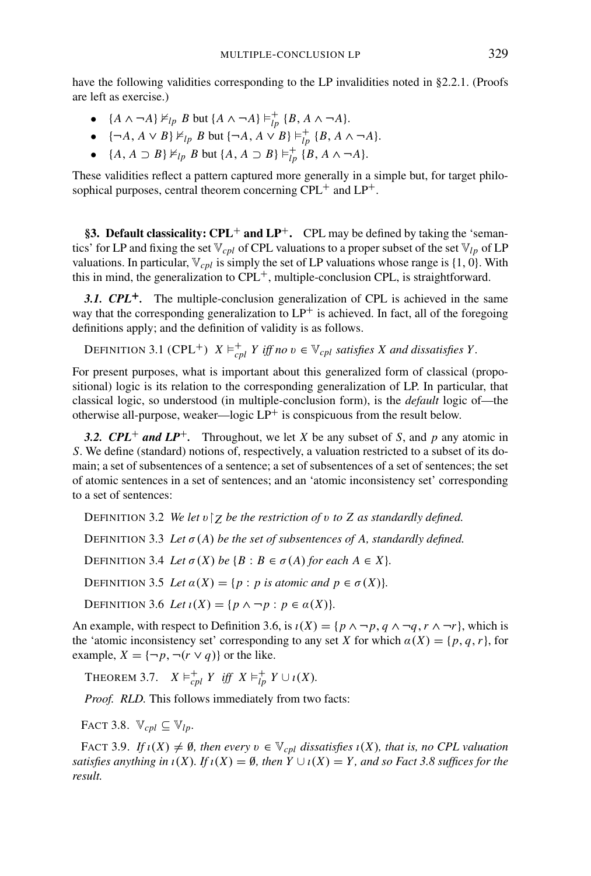have the following validities corresponding to the LP invalidities noted in §2.2.1. (Proofs are left as exercise.)

- {*A* ∧ ¬*A*}  $\nvdash_{lp}$  *B* but {*A* ∧ ¬*A*}  $\models_{lp}^+$  {*B*, *A* ∧ ¬*A*}.
- $\{\neg A, A \lor B\} \nvDash_{lp} B$  but  $\{\neg A, A \lor B\} \vDash_{lp}^+ \{B, A \land \neg A\}.$
- {*A*, *A* ⊃ *B*}  $\nvdash_{lp}$  *B* but {*A*, *A* ⊃ *B*}  $\models_{lp}^+$  {*B*, *A* ∧ ¬*A*}.

These validities reflect a pattern captured more generally in a simple but, for target philosophical purposes, central theorem concerning CPL<sup>+</sup> and LP<sup>+</sup>.

**§3. Default classicality: CPL<sup>+</sup> and LP<sup>+</sup>.** CPL may be defined by taking the 'semantics' for LP and fixing the set  $\mathbb{V}_{cpl}$  of CPL valuations to a proper subset of the set  $\mathbb{V}_{lp}$  of LP valuations. In particular,  $V_{cpl}$  is simply the set of LP valuations whose range is {1, 0}. With this in mind, the generalization to  $CPL^+$ , multiple-conclusion CPL, is straightforward.

*3.1. CPL*+*.* The multiple-conclusion generalization of CPL is achieved in the same way that the corresponding generalization to  $LP^+$  is achieved. In fact, all of the foregoing definitions apply; and the definition of validity is as follows.

DEFINITION 3.1 (CPL<sup>+</sup>)  $X \vDash_{cpl}^+ Y$  *iff no*  $v \in \mathbb{V}_{cpl}$  *satisfies* X *and dissatisfies* Y.

For present purposes, what is important about this generalized form of classical (propositional) logic is its relation to the corresponding generalization of LP. In particular, that classical logic, so understood (in multiple-conclusion form), is the *default* logic of—the otherwise all-purpose, weaker—logic  $LP^+$  is conspicuous from the result below.

*3.2. CPL*+ *and LP*+*.* Throughout, we let *X* be any subset of *S*, and *p* any atomic in *S*. We define (standard) notions of, respectively, a valuation restricted to a subset of its domain; a set of subsentences of a sentence; a set of subsentences of a set of sentences; the set of atomic sentences in a set of sentences; and an 'atomic inconsistency set' corresponding to a set of sentences:

DEFINITION 3.2 *We let*  $v \mid Z$  *be the restriction of*  $v$  *to*  $Z$  *as standardly defined.* 

DEFINITION 3.3 Let  $\sigma(A)$  be the set of subsentences of A, standardly defined.

DEFINITION 3.4 *Let*  $\sigma(X)$  *be*  $\{B : B \in \sigma(A) \text{ for each } A \in X\}.$ 

DEFINITION 3.5 Let  $\alpha(X) = \{p : p \text{ is atomic and } p \in \sigma(X)\}.$ 

DEFINITION 3.6 Let  $\iota(X) = \{p \land \neg p : p \in \alpha(X)\}.$ 

An example, with respect to Definition 3.6, is  $\iota(X) = \{p \land \neg p, q \land \neg q, r \land \neg r\}$ , which is the 'atomic inconsistency set' corresponding to any set *X* for which  $\alpha(X) = \{p, q, r\}$ , for example,  $X = \{\neg p, \neg (r \lor q)\}\$ or the like.

THEOREM 3.7.  $X \vDash_{cpl}^+ Y \text{ iff } X \vDash_{lp}^+ Y \cup \iota(X)$ *.* 

*Proof. RLD.* This follows immediately from two facts:

FACT 3.8.  $\mathbb{V}_{cpl} \subseteq \mathbb{V}_{lp}$ .

FACT 3.9. *If*  $\iota(X) \neq \emptyset$ , then every  $v \in V_{cpl}$  dissatisfies  $\iota(X)$ , that is, no CPL valuation *satisfies anything in*  $\iota(X)$ *. If*  $\iota(X) = \emptyset$ *, then*  $Y \cup \iota(X) = Y$ *, and so Fact 3.8 suffices for the result.*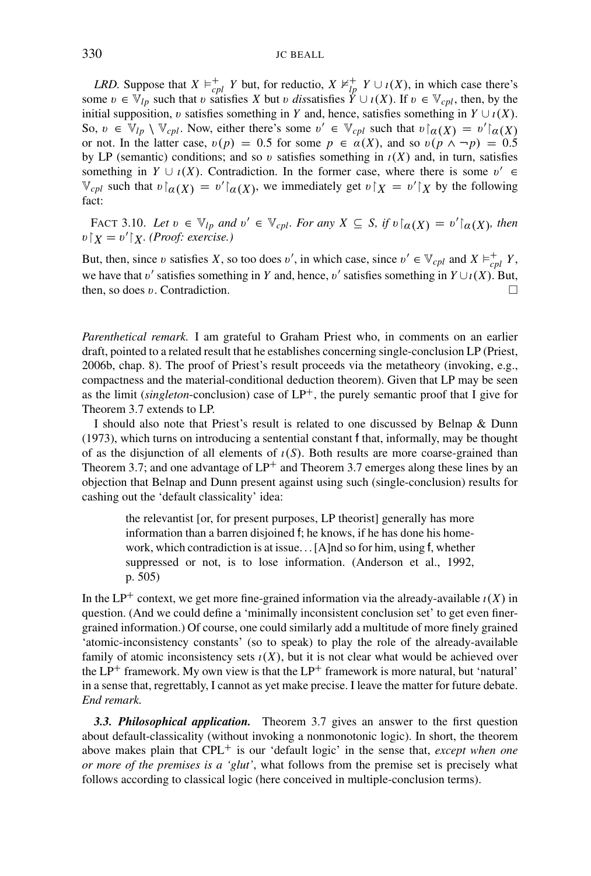*LRD.* Suppose that  $X \vDash_{cpl}^+ Y$  but, for reductio,  $X \nvDash_{lp}^+ Y \cup \iota(X)$ , in which case there's some  $v \in \overline{\mathbb{V}}_{lp}$  such that v satisfies *X* but v *dissatisfies*  $\overline{Y} \cup i(X)$ . If  $v \in \mathbb{V}_{cpl}$ , then, by the initial supposition, v satisfies something in *Y* and, hence, satisfies something in  $Y \cup i(X)$ . So,  $v \in \mathbb{V}_{lp} \setminus \mathbb{V}_{cpl}$ . Now, either there's some  $v' \in \mathbb{V}_{cpl}$  such that  $v \upharpoonright \alpha(X) = v' \upharpoonright \alpha(X)$ or not. In the latter case,  $v(p) = 0.5$  for some  $p \in \alpha(X)$ , and so  $v(p \land \neg p) = 0.5$ by LP (semantic) conditions; and so v satisfies something in  $\iota(X)$  and, in turn, satisfies something in *Y* ∪  $\iota(X)$ . Contradiction. In the former case, where there is some  $v' \in$  $\mathbb{V}_{cpl}$  such that  $v \upharpoonright_{\alpha}(X) = v' \upharpoonright_{\alpha}(X)$ , we immediately get  $v \upharpoonright_{X} = v' \upharpoonright_{X}$  by the following fact:

FACT 3.10. Let  $v \in V_{lp}$  and  $v' \in V_{cpl}$ . For any  $X \subseteq S$ , if  $v \mid_{\alpha}(X) = v' \mid_{\alpha}(X)$ , then  $v \upharpoonright X = v' \upharpoonright X$ . *(Proof: exercise.)* 

But, then, since v satisfies X, so too does v', in which case, since  $v' \in \mathbb{V}_{\text{cpl}}$  and  $X \vDash_{\text{cpl}}^+ Y$ , we have that v' satisfies something in *Y* and, hence, v' satisfies something in  $Y \cup i(X)$ . But, then, so does  $v$ . Contradiction.

*Parenthetical remark.* I am grateful to Graham Priest who, in comments on an earlier draft, pointed to a related result that he establishes concerning single-conclusion LP (Priest, 2006b, chap. 8). The proof of Priest's result proceeds via the metatheory (invoking, e.g., compactness and the material-conditional deduction theorem). Given that LP may be seen as the limit (*singleton*-conclusion) case of  $LP^+$ , the purely semantic proof that I give for Theorem 3.7 extends to LP.

I should also note that Priest's result is related to one discussed by Belnap & Dunn (1973), which turns on introducing a sentential constant f that, informally, may be thought of as the disjunction of all elements of  $\iota(S)$ . Both results are more coarse-grained than Theorem 3.7; and one advantage of  $LP^+$  and Theorem 3.7 emerges along these lines by an objection that Belnap and Dunn present against using such (single-conclusion) results for cashing out the 'default classicality' idea:

the relevantist [or, for present purposes, LP theorist] generally has more information than a barren disjoined f; he knows, if he has done his homework, which contradiction is at issue. . . [A]nd so for him, using f, whether suppressed or not, is to lose information. (Anderson et al., 1992, p. 505)

In the LP<sup>+</sup> context, we get more fine-grained information via the already-available  $\iota(X)$  in question. (And we could define a 'minimally inconsistent conclusion set' to get even finergrained information.) Of course, one could similarly add a multitude of more finely grained 'atomic-inconsistency constants' (so to speak) to play the role of the already-available family of atomic inconsistency sets  $\iota(X)$ , but it is not clear what would be achieved over the  $LP^+$  framework. My own view is that the  $LP^+$  framework is more natural, but 'natural' in a sense that, regrettably, I cannot as yet make precise. I leave the matter for future debate. *End remark.*

*3.3. Philosophical application.* Theorem 3.7 gives an answer to the first question about default-classicality (without invoking a nonmonotonic logic). In short, the theorem above makes plain that CPL+ is our 'default logic' in the sense that, *except when one or more of the premises is a 'glut'*, what follows from the premise set is precisely what follows according to classical logic (here conceived in multiple-conclusion terms).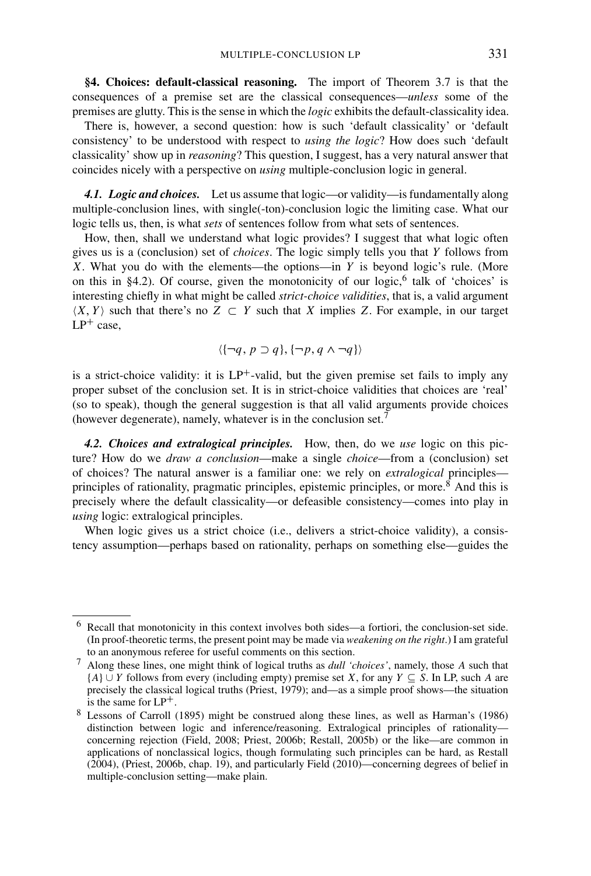**§4. Choices: default-classical reasoning.** The import of Theorem 3.7 is that the consequences of a premise set are the classical consequences—*unless* some of the premises are glutty. This is the sense in which the *logic* exhibits the default-classicality idea.

There is, however, a second question: how is such 'default classicality' or 'default consistency' to be understood with respect to *using the logic*? How does such 'default classicality' show up in *reasoning*? This question, I suggest, has a very natural answer that coincides nicely with a perspective on *using* multiple-conclusion logic in general.

*4.1. Logic and choices.* Let us assume that logic—or validity—is fundamentally along multiple-conclusion lines, with single(-ton)-conclusion logic the limiting case. What our logic tells us, then, is what *sets* of sentences follow from what sets of sentences.

How, then, shall we understand what logic provides? I suggest that what logic often gives us is a (conclusion) set of *choices*. The logic simply tells you that *Y* follows from *X*. What you do with the elements—the options—in *Y* is beyond logic's rule. (More on this in §4.2). Of course, given the monotonicity of our logic,  $6$  talk of 'choices' is interesting chiefly in what might be called *strict-choice validities*, that is, a valid argument  $\langle X, Y \rangle$  such that there's no  $Z \subset Y$  such that *X* implies *Z*. For example, in our target  $LP^+$  case,

$$
\langle \{\neg q, p \supset q\}, \{\neg p, q \wedge \neg q\} \rangle
$$

is a strict-choice validity: it is  $LP^+$ -valid, but the given premise set fails to imply any proper subset of the conclusion set. It is in strict-choice validities that choices are 'real' (so to speak), though the general suggestion is that all valid arguments provide choices (however degenerate), namely, whatever is in the conclusion set.7

*4.2. Choices and extralogical principles.* How, then, do we *use* logic on this picture? How do we *draw a conclusion*—make a single *choice*—from a (conclusion) set of choices? The natural answer is a familiar one: we rely on *extralogical* principles principles of rationality, pragmatic principles, epistemic principles, or more.<sup>8</sup> And this is precisely where the default classicality—or defeasible consistency—comes into play in *using* logic: extralogical principles.

When logic gives us a strict choice (i.e., delivers a strict-choice validity), a consistency assumption—perhaps based on rationality, perhaps on something else—guides the

<sup>6</sup> Recall that monotonicity in this context involves both sides—a fortiori, the conclusion-set side. (In proof-theoretic terms, the present point may be made via *weakening on the right*.) I am grateful to an anonymous referee for useful comments on this section.

<sup>7</sup> Along these lines, one might think of logical truths as *dull 'choices'*, namely, those *A* such that {*A*} ∪ *Y* follows from every (including empty) premise set *X*, for any *Y* ⊆ *S*. In LP, such *A* are precisely the classical logical truths (Priest, 1979); and—as a simple proof shows—the situation is the same for  $LP^+$ .

<sup>8</sup> Lessons of Carroll (1895) might be construed along these lines, as well as Harman's (1986) distinction between logic and inference/reasoning. Extralogical principles of rationality concerning rejection (Field, 2008; Priest, 2006b; Restall, 2005b) or the like—are common in applications of nonclassical logics, though formulating such principles can be hard, as Restall (2004), (Priest, 2006b, chap. 19), and particularly Field (2010)—concerning degrees of belief in multiple-conclusion setting—make plain.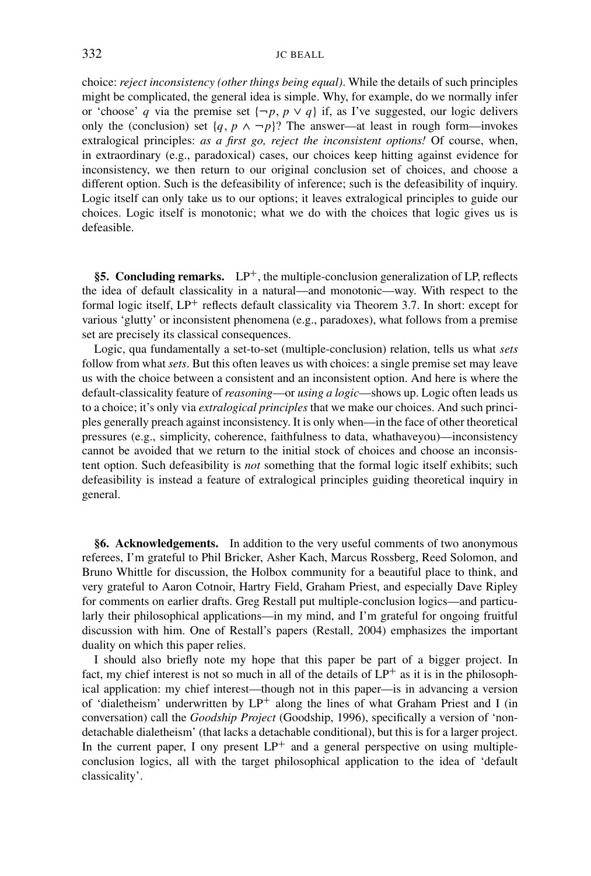choice: *reject inconsistency (other things being equal)*. While the details of such principles might be complicated, the general idea is simple. Why, for example, do we normally infer or 'choose' *q* via the premise set  $\{\neg p, p \lor q\}$  if, as I've suggested, our logic delivers only the (conclusion) set  $\{q, p \land \neg p\}$ ? The answer—at least in rough form—invokes extralogical principles: *as a first go, reject the inconsistent options!* Of course, when, in extraordinary (e.g., paradoxical) cases, our choices keep hitting against evidence for inconsistency, we then return to our original conclusion set of choices, and choose a different option. Such is the defeasibility of inference; such is the defeasibility of inquiry. Logic itself can only take us to our options; it leaves extralogical principles to guide our choices. Logic itself is monotonic; what we do with the choices that logic gives us is defeasible.

 $\S5.$  Concluding remarks.  $LP^+$ , the multiple-conclusion generalization of LP, reflects the idea of default classicality in a natural—and monotonic—way. With respect to the formal logic itself,  $LP^+$  reflects default classicality via Theorem 3.7. In short: except for various 'glutty' or inconsistent phenomena (e.g., paradoxes), what follows from a premise set are precisely its classical consequences.

Logic, qua fundamentally a set-to-set (multiple-conclusion) relation, tells us what *sets* follow from what *sets*. But this often leaves us with choices: a single premise set may leave us with the choice between a consistent and an inconsistent option. And here is where the default-classicality feature of *reasoning*—or *using a logic*—shows up. Logic often leads us to a choice; it's only via *extralogical principles* that we make our choices. And such principles generally preach against inconsistency. It is only when—in the face of other theoretical pressures (e.g., simplicity, coherence, faithfulness to data, whathaveyou)—inconsistency cannot be avoided that we return to the initial stock of choices and choose an inconsistent option. Such defeasibility is *not* something that the formal logic itself exhibits; such defeasibility is instead a feature of extralogical principles guiding theoretical inquiry in general.

**§6. Acknowledgements.** In addition to the very useful comments of two anonymous referees, I'm grateful to Phil Bricker, Asher Kach, Marcus Rossberg, Reed Solomon, and Bruno Whittle for discussion, the Holbox community for a beautiful place to think, and very grateful to Aaron Cotnoir, Hartry Field, Graham Priest, and especially Dave Ripley for comments on earlier drafts. Greg Restall put multiple-conclusion logics—and particularly their philosophical applications—in my mind, and I'm grateful for ongoing fruitful discussion with him. One of Restall's papers (Restall, 2004) emphasizes the important duality on which this paper relies.

I should also briefly note my hope that this paper be part of a bigger project. In fact, my chief interest is not so much in all of the details of  $LP<sup>+</sup>$  as it is in the philosophical application: my chief interest—though not in this paper—is in advancing a version of 'dialetheism' underwritten by  $LP^+$  along the lines of what Graham Priest and I (in conversation) call the *Goodship Project* (Goodship, 1996), specifically a version of 'nondetachable dialetheism' (that lacks a detachable conditional), but this is for a larger project. In the current paper, I ony present  $LP<sup>+</sup>$  and a general perspective on using multipleconclusion logics, all with the target philosophical application to the idea of 'default classicality'.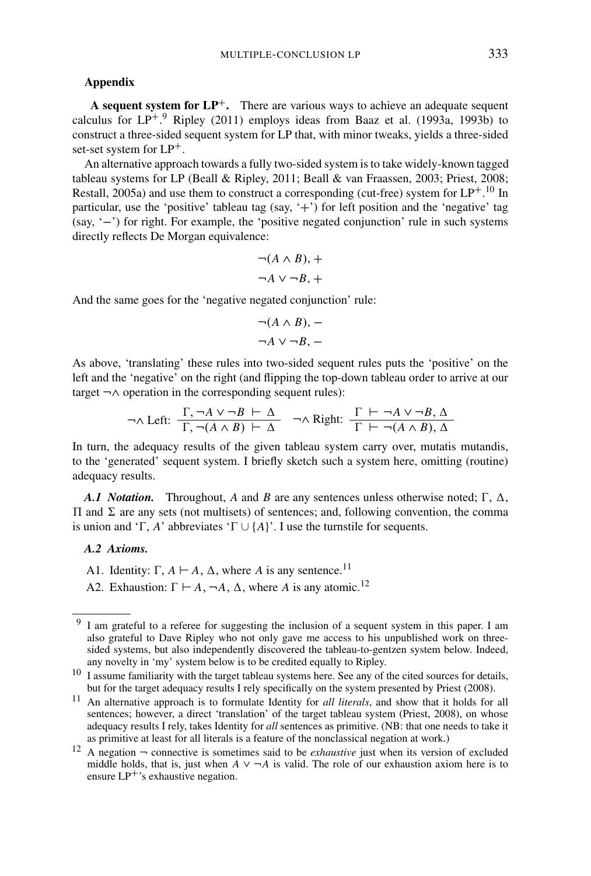#### **Appendix**

**A sequent system for LP**+**.** There are various ways to achieve an adequate sequent calculus for  $LP^{+,9}$  Ripley (2011) employs ideas from Baaz et al. (1993a, 1993b) to construct a three-sided sequent system for LP that, with minor tweaks, yields a three-sided set-set system for  $LP^+$ .

An alternative approach towards a fully two-sided system is to take widely-known tagged tableau systems for LP (Beall & Ripley, 2011; Beall & van Fraassen, 2003; Priest, 2008; Restall, 2005a) and use them to construct a corresponding (cut-free) system for  $LP^{+}$ .<sup>10</sup> In particular, use the 'positive' tableau tag (say, '+') for left position and the 'negative' tag (say, '−') for right. For example, the 'positive negated conjunction' rule in such systems directly reflects De Morgan equivalence:

$$
\neg(A \land B), +
$$
  

$$
\neg A \lor \neg B, +
$$

And the same goes for the 'negative negated conjunction' rule:

$$
\neg(A \land B), -
$$
  

$$
\neg A \lor \neg B, -
$$

As above, 'translating' these rules into two-sided sequent rules puts the 'positive' on the left and the 'negative' on the right (and flipping the top-down tableau order to arrive at our target  $\neg \land$  operation in the corresponding sequent rules):

$$
\neg \land \text{Left: } \frac{\Gamma, \neg A \lor \neg B \vdash \Delta}{\Gamma, \neg (A \land B) \vdash \Delta} \quad \neg \land \text{Right: } \frac{\Gamma \vdash \neg A \lor \neg B, \Delta}{\Gamma \vdash \neg (A \land B), \Delta}
$$

In turn, the adequacy results of the given tableau system carry over, mutatis mutandis, to the 'generated' sequent system. I briefly sketch such a system here, omitting (routine) adequacy results.

*A.1 Notation.* Throughout, *A* and *B* are any sentences unless otherwise noted;  $\Gamma$ ,  $\Delta$ ,  $\Pi$  and  $\Sigma$  are any sets (not multisets) of sentences; and, following convention, the comma is union and ' $\Gamma$ , *A*' abbreviates ' $\Gamma \cup \{A\}$ '. I use the turnstile for sequents.

### *A.2 Axioms.*

- A1. Identity:  $\Gamma$ ,  $A \vdash A$ ,  $\Delta$ , where *A* is any sentence.<sup>11</sup>
- A2. Exhaustion:  $\Gamma \vdash A$ ,  $\neg A$ ,  $\Delta$ , where *A* is any atomic.<sup>12</sup>

<sup>&</sup>lt;sup>9</sup> I am grateful to a referee for suggesting the inclusion of a sequent system in this paper. I am also grateful to Dave Ripley who not only gave me access to his unpublished work on threesided systems, but also independently discovered the tableau-to-gentzen system below. Indeed, any novelty in 'my' system below is to be credited equally to Ripley.

<sup>&</sup>lt;sup>10</sup> I assume familiarity with the target tableau systems here. See any of the cited sources for details, but for the target adequacy results I rely specifically on the system presented by Priest (2008).

<sup>11</sup> An alternative approach is to formulate Identity for *all literals*, and show that it holds for all sentences; however, a direct 'translation' of the target tableau system (Priest, 2008), on whose adequacy results I rely, takes Identity for *all* sentences as primitive. (NB: that one needs to take it as primitive at least for all literals is a feature of the nonclassical negation at work.)

<sup>12</sup> A negation <sup>¬</sup> connective is sometimes said to be *exhaustive* just when its version of excluded middle holds, that is, just when  $A \vee \neg A$  is valid. The role of our exhaustion axiom here is to ensure  $LP^+$ 's exhaustive negation.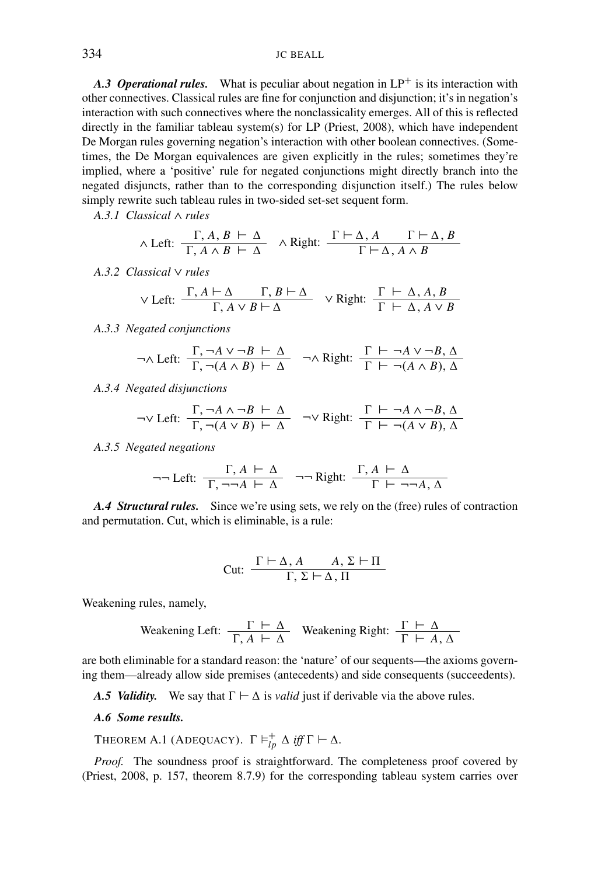*A.3 Operational rules.* What is peculiar about negation in  $LP^+$  is its interaction with other connectives. Classical rules are fine for conjunction and disjunction; it's in negation's interaction with such connectives where the nonclassicality emerges. All of this is reflected directly in the familiar tableau system(s) for LP (Priest, 2008), which have independent De Morgan rules governing negation's interaction with other boolean connectives. (Sometimes, the De Morgan equivalences are given explicitly in the rules; sometimes they're implied, where a 'positive' rule for negated conjunctions might directly branch into the negated disjuncts, rather than to the corresponding disjunction itself.) The rules below simply rewrite such tableau rules in two-sided set-set sequent form.

*A.3.1 Classical* ∧ *rules*

$$
\wedge \text{ Left: } \frac{\Gamma, A, B \vdash \Delta}{\Gamma, A \wedge B \vdash \Delta} \quad \wedge \text{ Right: } \frac{\Gamma \vdash \Delta, A \quad \Gamma \vdash \Delta, B}{\Gamma \vdash \Delta, A \wedge B}
$$

*A.3.2 Classical* ∨ *rules*

$$
\lor \text{ Left: } \frac{\Gamma, A \vdash \Delta \qquad \Gamma, B \vdash \Delta}{\Gamma, A \lor B \vdash \Delta} \quad \lor \text{ Right: } \frac{\Gamma \vdash \Delta, A, B}{\Gamma \vdash \Delta, A \lor B}
$$

*A.3.3 Negated conjunctions*

$$
\neg \land \text{Left: } \frac{\Gamma, \neg A \lor \neg B \vdash \Delta}{\Gamma, \neg (A \land B) \vdash \Delta} \quad \neg \land \text{Right: } \frac{\Gamma \vdash \neg A \lor \neg B, \Delta}{\Gamma \vdash \neg (A \land B), \Delta}
$$

*A.3.4 Negated disjunctions*

$$
\neg \lor \text{Left: } \frac{\Gamma, \neg A \land \neg B \vdash \Delta}{\Gamma, \neg (A \lor B) \vdash \Delta} \quad \neg \lor \text{Right: } \frac{\Gamma \vdash \neg A \land \neg B, \Delta}{\Gamma \vdash \neg (A \lor B), \Delta}
$$

*A.3.5 Negated negations*

$$
\neg\neg \text{Left: } \frac{\Gamma, A \vdash \Delta}{\Gamma, \neg \neg A \vdash \Delta} \quad \neg \neg \text{Right: } \frac{\Gamma, A \vdash \Delta}{\Gamma \vdash \neg \neg A, \Delta}
$$

*A.4 Structural rules.* Since we're using sets, we rely on the (free) rules of contraction and permutation. Cut, which is eliminable, is a rule:

Cut: 
$$
\frac{\Gamma \vdash \Delta, A \qquad A, \Sigma \vdash \Pi}{\Gamma, \Sigma \vdash \Delta, \Pi}
$$

Weakening rules, namely,

Weakening Left: 
$$
\frac{\Gamma \vdash \Delta}{\Gamma, A \vdash \Delta}
$$
 Weakening Right:  $\frac{\Gamma \vdash \Delta}{\Gamma \vdash A, \Delta}$ 

are both eliminable for a standard reason: the 'nature' of our sequents—the axioms governing them—already allow side premises (antecedents) and side consequents (succeedents).

*A.5 Validity.* We say that  $\Gamma \vdash \Delta$  is *valid* just if derivable via the above rules.

#### *A.6 Some results.*

THEOREM A.1 (ADEQUACY).  $\Gamma \vDash^+_{lp} \Delta \text{ iff } \Gamma \vdash \Delta.$ 

*Proof.* The soundness proof is straightforward. The completeness proof covered by (Priest, 2008, p. 157, theorem 8.7.9) for the corresponding tableau system carries over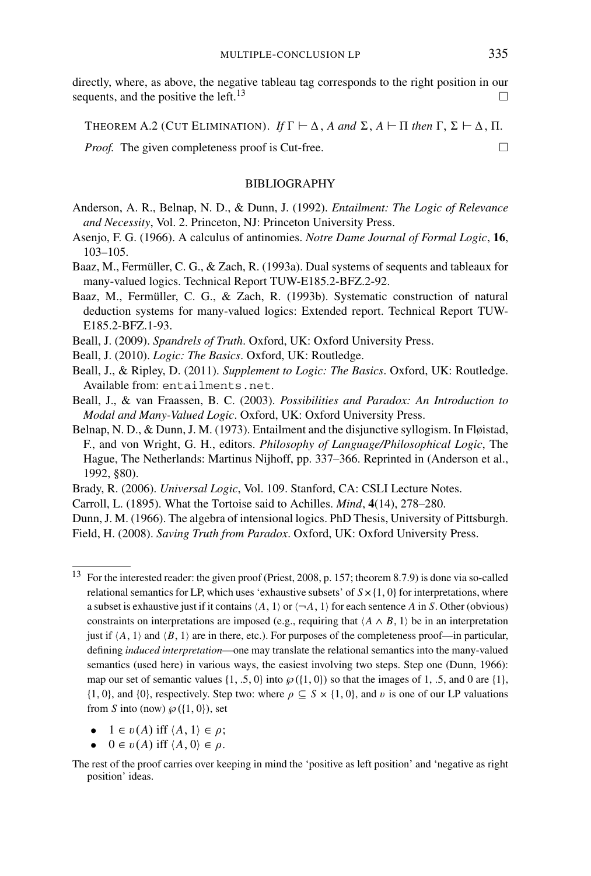directly, where, as above, the negative tableau tag corresponds to the right position in our sequents, and the positive the left.<sup>13</sup>

THEOREM A.2 (CUT ELIMINATION). *If*  $\Gamma \vdash \Delta$ , *A* and  $\Sigma$ , *A*  $\vdash \Pi$  then  $\Gamma$ ,  $\Sigma \vdash \Delta$ ,  $\Pi$ .

*Proof.* The given completeness proof is Cut-free. □

#### BIBLIOGRAPHY

- Anderson, A. R., Belnap, N. D., & Dunn, J. (1992). *Entailment: The Logic of Relevance and Necessity*, Vol. 2. Princeton, NJ: Princeton University Press.
- Asenjo, F. G. (1966). A calculus of antinomies. *Notre Dame Journal of Formal Logic*, **16**, 103–105.
- Baaz, M., Fermüller, C. G., & Zach, R. (1993a). Dual systems of sequents and tableaux for many-valued logics. Technical Report TUW-E185.2-BFZ.2-92.
- Baaz, M., Fermüller, C. G., & Zach, R. (1993b). Systematic construction of natural deduction systems for many-valued logics: Extended report. Technical Report TUW-E185.2-BFZ.1-93.
- Beall, J. (2009). *Spandrels of Truth*. Oxford, UK: Oxford University Press.
- Beall, J. (2010). *Logic: The Basics*. Oxford, UK: Routledge.
- Beall, J., & Ripley, D. (2011). *Supplement to Logic: The Basics*. Oxford, UK: Routledge. Available from: entailments.net.
- Beall, J., & van Fraassen, B. C. (2003). *Possibilities and Paradox: An Introduction to Modal and Many-Valued Logic*. Oxford, UK: Oxford University Press.
- Belnap, N. D., & Dunn, J. M. (1973). Entailment and the disjunctive syllogism. In Fløistad, F., and von Wright, G. H., editors. *Philosophy of Language/Philosophical Logic*, The Hague, The Netherlands: Martinus Nijhoff, pp. 337–366. Reprinted in (Anderson et al., 1992, §80).
- Brady, R. (2006). *Universal Logic*, Vol. 109. Stanford, CA: CSLI Lecture Notes.
- Carroll, L. (1895). What the Tortoise said to Achilles. *Mind*, **4**(14), 278–280.

Dunn, J. M. (1966). The algebra of intensional logics. PhD Thesis, University of Pittsburgh. Field, H. (2008). *Saving Truth from Paradox*. Oxford, UK: Oxford University Press.

- $1 \in v(A)$  iff  $\langle A, 1 \rangle \in \rho$ ;
- $0 \in v(A)$  iff  $\langle A, 0 \rangle \in \rho$ .

<sup>&</sup>lt;sup>13</sup> For the interested reader: the given proof (Priest, 2008, p. 157; theorem 8.7.9) is done via so-called relational semantics for LP, which uses 'exhaustive subsets' of  $S \times \{1, 0\}$  for interpretations, where a subset is exhaustive just if it contains  $\langle A, 1 \rangle$  or  $\langle \neg A, 1 \rangle$  for each sentence *A* in *S*. Other (obvious) constraints on interpretations are imposed (e.g., requiring that  $\langle A \wedge B, 1 \rangle$  be in an interpretation just if  $\langle A, 1 \rangle$  and  $\langle B, 1 \rangle$  are in there, etc.). For purposes of the completeness proof—in particular, defining *induced interpretation*—one may translate the relational semantics into the many-valued semantics (used here) in various ways, the easiest involving two steps. Step one (Dunn, 1966): map our set of semantic values  $\{1, .5, 0\}$  into  $\mathcal{P}(\{1, 0\})$  so that the images of 1, .5, and 0 are  $\{1\}$ ,  $\{1, 0\}$ , and  $\{0\}$ , respectively. Step two: where  $\rho \subseteq S \times \{1, 0\}$ , and v is one of our LP valuations from *S* into (now)  $\wp({1, 0})$ , set

The rest of the proof carries over keeping in mind the 'positive as left position' and 'negative as right position' ideas.